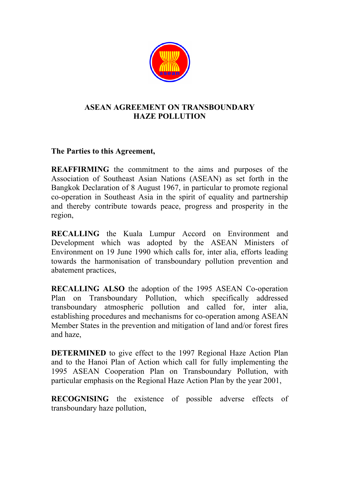

# **ASEAN AGREEMENT ON TRANSBOUNDARY HAZE POLLUTION**

# **The Parties to this Agreement,**

**REAFFIRMING** the commitment to the aims and purposes of the Association of Southeast Asian Nations (ASEAN) as set forth in the Bangkok Declaration of 8 August 1967, in particular to promote regional co-operation in Southeast Asia in the spirit of equality and partnership and thereby contribute towards peace, progress and prosperity in the region,

**RECALLING** the Kuala Lumpur Accord on Environment and Development which was adopted by the ASEAN Ministers of Environment on 19 June 1990 which calls for, inter alia, efforts leading towards the harmonisation of transboundary pollution prevention and abatement practices,

**RECALLING ALSO** the adoption of the 1995 ASEAN Co-operation Plan on Transboundary Pollution, which specifically addressed transboundary atmospheric pollution and called for, inter alia, establishing procedures and mechanisms for co-operation among ASEAN Member States in the prevention and mitigation of land and/or forest fires and haze,

**DETERMINED** to give effect to the 1997 Regional Haze Action Plan and to the Hanoi Plan of Action which call for fully implementing the 1995 ASEAN Cooperation Plan on Transboundary Pollution, with particular emphasis on the Regional Haze Action Plan by the year 2001,

**RECOGNISING** the existence of possible adverse effects of transboundary haze pollution,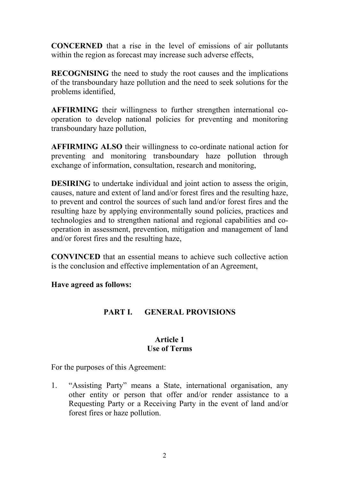**CONCERNED** that a rise in the level of emissions of air pollutants within the region as forecast may increase such adverse effects,

**RECOGNISING** the need to study the root causes and the implications of the transboundary haze pollution and the need to seek solutions for the problems identified,

**AFFIRMING** their willingness to further strengthen international cooperation to develop national policies for preventing and monitoring transboundary haze pollution,

**AFFIRMING ALSO** their willingness to co-ordinate national action for preventing and monitoring transboundary haze pollution through exchange of information, consultation, research and monitoring,

**DESIRING** to undertake individual and joint action to assess the origin, causes, nature and extent of land and/or forest fires and the resulting haze, to prevent and control the sources of such land and/or forest fires and the resulting haze by applying environmentally sound policies, practices and technologies and to strengthen national and regional capabilities and cooperation in assessment, prevention, mitigation and management of land and/or forest fires and the resulting haze,

**CONVINCED** that an essential means to achieve such collective action is the conclusion and effective implementation of an Agreement,

**Have agreed as follows:** 

### **PART I. GENERAL PROVISIONS**

#### **Article 1 Use of Terms**

For the purposes of this Agreement:

1. "Assisting Party" means a State, international organisation, any other entity or person that offer and/or render assistance to a Requesting Party or a Receiving Party in the event of land and/or forest fires or haze pollution.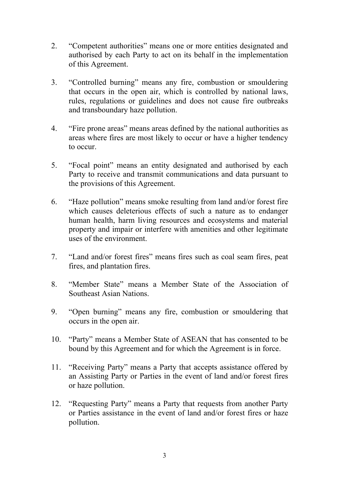- 2. "Competent authorities" means one or more entities designated and authorised by each Party to act on its behalf in the implementation of this Agreement.
- 3. "Controlled burning" means any fire, combustion or smouldering that occurs in the open air, which is controlled by national laws, rules, regulations or guidelines and does not cause fire outbreaks and transboundary haze pollution.
- 4. "Fire prone areas" means areas defined by the national authorities as areas where fires are most likely to occur or have a higher tendency to occur.
- 5. "Focal point" means an entity designated and authorised by each Party to receive and transmit communications and data pursuant to the provisions of this Agreement.
- 6. "Haze pollution" means smoke resulting from land and/or forest fire which causes deleterious effects of such a nature as to endanger human health, harm living resources and ecosystems and material property and impair or interfere with amenities and other legitimate uses of the environment.
- 7. "Land and/or forest fires" means fires such as coal seam fires, peat fires, and plantation fires.
- 8. "Member State" means a Member State of the Association of Southeast Asian Nations.
- 9. "Open burning" means any fire, combustion or smouldering that occurs in the open air.
- 10. "Party" means a Member State of ASEAN that has consented to be bound by this Agreement and for which the Agreement is in force.
- 11. "Receiving Party" means a Party that accepts assistance offered by an Assisting Party or Parties in the event of land and/or forest fires or haze pollution.
- 12. "Requesting Party" means a Party that requests from another Party or Parties assistance in the event of land and/or forest fires or haze pollution.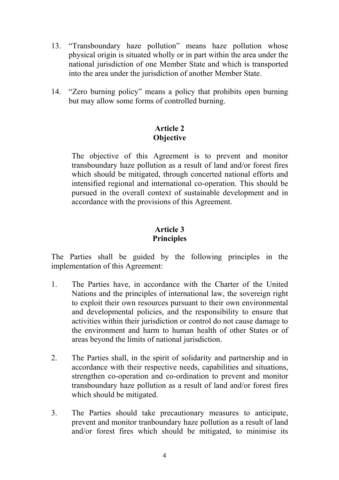- 13. "Transboundary haze pollution" means haze pollution whose physical origin is situated wholly or in part within the area under the national jurisdiction of one Member State and which is transported into the area under the jurisdiction of another Member State.
- 14. "Zero burning policy" means a policy that prohibits open burning but may allow some forms of controlled burning.

## **Article 2 Objective**

The objective of this Agreement is to prevent and monitor transboundary haze pollution as a result of land and/or forest fires which should be mitigated, through concerted national efforts and intensified regional and international co-operation. This should be pursued in the overall context of sustainable development and in accordance with the provisions of this Agreement.

# **Article 3 Principles**

The Parties shall be guided by the following principles in the implementation of this Agreement:

- 1. The Parties have, in accordance with the Charter of the United Nations and the principles of international law, the sovereign right to exploit their own resources pursuant to their own environmental and developmental policies, and the responsibility to ensure that activities within their jurisdiction or control do not cause damage to the environment and harm to human health of other States or of areas beyond the limits of national jurisdiction.
- 2. The Parties shall, in the spirit of solidarity and partnership and in accordance with their respective needs, capabilities and situations, strengthen co-operation and co-ordination to prevent and monitor transboundary haze pollution as a result of land and/or forest fires which should be mitigated.
- 3. The Parties should take precautionary measures to anticipate, prevent and monitor tranboundary haze pollution as a result of land and/or forest fires which should be mitigated, to minimise its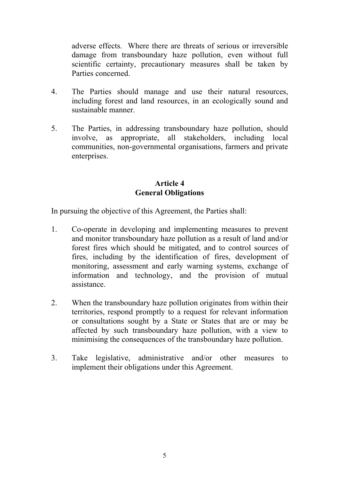adverse effects. Where there are threats of serious or irreversible damage from transboundary haze pollution, even without full scientific certainty, precautionary measures shall be taken by Parties concerned.

- 4. The Parties should manage and use their natural resources, including forest and land resources, in an ecologically sound and sustainable manner.
- 5. The Parties, in addressing transboundary haze pollution, should involve, as appropriate, all stakeholders, including local communities, non-governmental organisations, farmers and private enterprises.

### **Article 4 General Obligations**

In pursuing the objective of this Agreement, the Parties shall:

- 1. Co-operate in developing and implementing measures to prevent and monitor transboundary haze pollution as a result of land and/or forest fires which should be mitigated, and to control sources of fires, including by the identification of fires, development of monitoring, assessment and early warning systems, exchange of information and technology, and the provision of mutual assistance.
- 2. When the transboundary haze pollution originates from within their territories, respond promptly to a request for relevant information or consultations sought by a State or States that are or may be affected by such transboundary haze pollution, with a view to minimising the consequences of the transboundary haze pollution.
- 3. Take legislative, administrative and/or other measures to implement their obligations under this Agreement.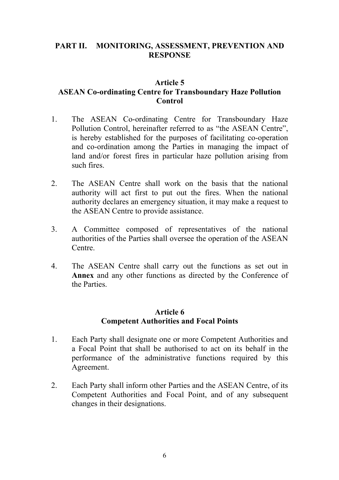## **PART II. MONITORING, ASSESSMENT, PREVENTION AND RESPONSE**

### **Article 5**

# **ASEAN Co-ordinating Centre for Transboundary Haze Pollution Control**

- 1. The ASEAN Co-ordinating Centre for Transboundary Haze Pollution Control, hereinafter referred to as "the ASEAN Centre", is hereby established for the purposes of facilitating co-operation and co-ordination among the Parties in managing the impact of land and/or forest fires in particular haze pollution arising from such fires.
- 2. The ASEAN Centre shall work on the basis that the national authority will act first to put out the fires. When the national authority declares an emergency situation, it may make a request to the ASEAN Centre to provide assistance.
- 3. A Committee composed of representatives of the national authorities of the Parties shall oversee the operation of the ASEAN Centre.
- 4. The ASEAN Centre shall carry out the functions as set out in **Annex** and any other functions as directed by the Conference of the Parties.

#### **Article 6 Competent Authorities and Focal Points**

- 1. Each Party shall designate one or more Competent Authorities and a Focal Point that shall be authorised to act on its behalf in the performance of the administrative functions required by this Agreement.
- 2. Each Party shall inform other Parties and the ASEAN Centre, of its Competent Authorities and Focal Point, and of any subsequent changes in their designations.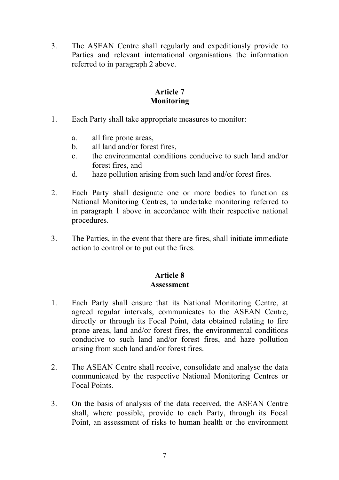3. The ASEAN Centre shall regularly and expeditiously provide to Parties and relevant international organisations the information referred to in paragraph 2 above.

# **Article 7 Monitoring**

- 1. Each Party shall take appropriate measures to monitor:
	- a. all fire prone areas,
	- b. all land and/or forest fires,
	- c. the environmental conditions conducive to such land and/or forest fires, and
	- d. haze pollution arising from such land and/or forest fires.
- 2. Each Party shall designate one or more bodies to function as National Monitoring Centres, to undertake monitoring referred to in paragraph 1 above in accordance with their respective national procedures.
- 3. The Parties, in the event that there are fires, shall initiate immediate action to control or to put out the fires.

# **Article 8 Assessment**

- 1. Each Party shall ensure that its National Monitoring Centre, at agreed regular intervals, communicates to the ASEAN Centre, directly or through its Focal Point, data obtained relating to fire prone areas, land and/or forest fires, the environmental conditions conducive to such land and/or forest fires, and haze pollution arising from such land and/or forest fires.
- 2. The ASEAN Centre shall receive, consolidate and analyse the data communicated by the respective National Monitoring Centres or Focal Points.
- 3. On the basis of analysis of the data received, the ASEAN Centre shall, where possible, provide to each Party, through its Focal Point, an assessment of risks to human health or the environment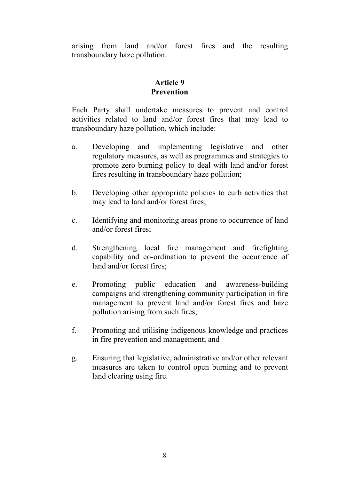arising from land and/or forest fires and the resulting transboundary haze pollution.

# **Article 9 Prevention**

Each Party shall undertake measures to prevent and control activities related to land and/or forest fires that may lead to transboundary haze pollution, which include:

- a. Developing and implementing legislative and other regulatory measures, as well as programmes and strategies to promote zero burning policy to deal with land and/or forest fires resulting in transboundary haze pollution;
- b. Developing other appropriate policies to curb activities that may lead to land and/or forest fires;
- c. Identifying and monitoring areas prone to occurrence of land and/or forest fires;
- d. Strengthening local fire management and firefighting capability and co-ordination to prevent the occurrence of land and/or forest fires;
- e. Promoting public education and awareness-building campaigns and strengthening community participation in fire management to prevent land and/or forest fires and haze pollution arising from such fires;
- f. Promoting and utilising indigenous knowledge and practices in fire prevention and management; and
- g. Ensuring that legislative, administrative and/or other relevant measures are taken to control open burning and to prevent land clearing using fire.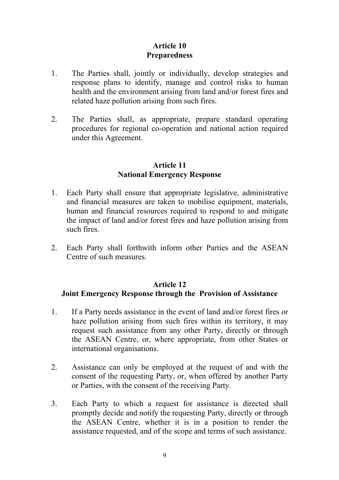# **Article 10 Preparedness**

- 1. The Parties shall, jointly or individually, develop strategies and response plans to identify, manage and control risks to human health and the environment arising from land and/or forest fires and related haze pollution arising from such fires.
- 2. The Parties shall, as appropriate, prepare standard operating procedures for regional co-operation and national action required under this Agreement.

### **Article 11 National Emergency Response**

- 1. Each Party shall ensure that appropriate legislative, administrative and financial measures are taken to mobilise equipment, materials, human and financial resources required to respond to and mitigate the impact of land and/or forest fires and haze pollution arising from such fires.
- 2. Each Party shall forthwith inform other Parties and the ASEAN Centre of such measures.

### **Article 12**

# **Joint Emergency Response through the Provision of Assistance**

- 1. If a Party needs assistance in the event of land and/or forest fires or haze pollution arising from such fires within its territory, it may request such assistance from any other Party, directly or through the ASEAN Centre, or, where appropriate, from other States or international organisations.
- 2. Assistance can only be employed at the request of and with the consent of the requesting Party, or, when offered by another Party or Parties, with the consent of the receiving Party.
- 3. Each Party to which a request for assistance is directed shall promptly decide and notify the requesting Party, directly or through the ASEAN Centre, whether it is in a position to render the assistance requested, and of the scope and terms of such assistance.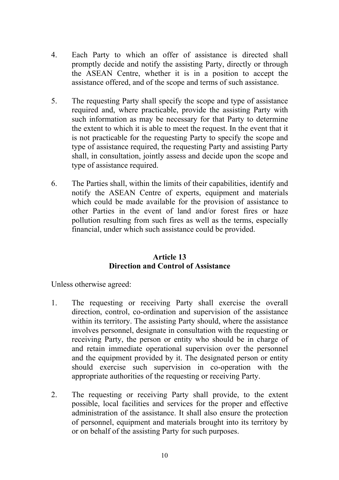- 4. Each Party to which an offer of assistance is directed shall promptly decide and notify the assisting Party, directly or through the ASEAN Centre, whether it is in a position to accept the assistance offered, and of the scope and terms of such assistance.
- 5. The requesting Party shall specify the scope and type of assistance required and, where practicable, provide the assisting Party with such information as may be necessary for that Party to determine the extent to which it is able to meet the request. In the event that it is not practicable for the requesting Party to specify the scope and type of assistance required, the requesting Party and assisting Party shall, in consultation, jointly assess and decide upon the scope and type of assistance required.
- 6. The Parties shall, within the limits of their capabilities, identify and notify the ASEAN Centre of experts, equipment and materials which could be made available for the provision of assistance to other Parties in the event of land and/or forest fires or haze pollution resulting from such fires as well as the terms, especially financial, under which such assistance could be provided.

# **Article 13 Direction and Control of Assistance**

Unless otherwise agreed:

- 1. The requesting or receiving Party shall exercise the overall direction, control, co-ordination and supervision of the assistance within its territory. The assisting Party should, where the assistance involves personnel, designate in consultation with the requesting or receiving Party, the person or entity who should be in charge of and retain immediate operational supervision over the personnel and the equipment provided by it. The designated person or entity should exercise such supervision in co-operation with the appropriate authorities of the requesting or receiving Party.
- 2. The requesting or receiving Party shall provide, to the extent possible, local facilities and services for the proper and effective administration of the assistance. It shall also ensure the protection of personnel, equipment and materials brought into its territory by or on behalf of the assisting Party for such purposes.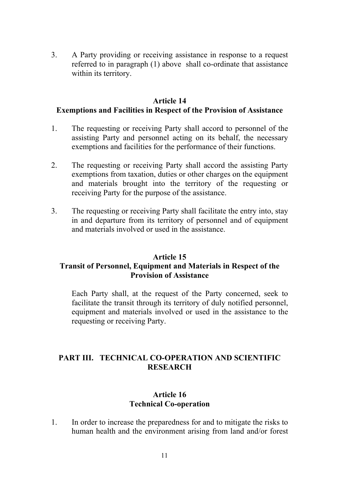3. A Party providing or receiving assistance in response to a request referred to in paragraph (1) above shall co-ordinate that assistance within its territory.

#### **Article 14**

## **Exemptions and Facilities in Respect of the Provision of Assistance**

- 1. The requesting or receiving Party shall accord to personnel of the assisting Party and personnel acting on its behalf, the necessary exemptions and facilities for the performance of their functions.
- 2. The requesting or receiving Party shall accord the assisting Party exemptions from taxation, duties or other charges on the equipment and materials brought into the territory of the requesting or receiving Party for the purpose of the assistance.
- 3. The requesting or receiving Party shall facilitate the entry into, stay in and departure from its territory of personnel and of equipment and materials involved or used in the assistance.

### **Article 15**

# **Transit of Personnel, Equipment and Materials in Respect of the Provision of Assistance**

Each Party shall, at the request of the Party concerned, seek to facilitate the transit through its territory of duly notified personnel, equipment and materials involved or used in the assistance to the requesting or receiving Party.

# **PART III. TECHNICAL CO-OPERATION AND SCIENTIFIC RESEARCH**

# **Article 16 Technical Co-operation**

1. In order to increase the preparedness for and to mitigate the risks to human health and the environment arising from land and/or forest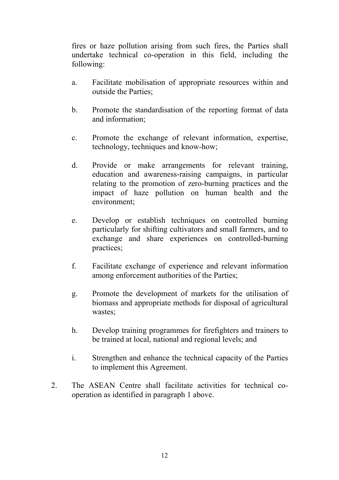fires or haze pollution arising from such fires, the Parties shall undertake technical co-operation in this field, including the following:

- a. Facilitate mobilisation of appropriate resources within and outside the Parties;
- b. Promote the standardisation of the reporting format of data and information;
- c. Promote the exchange of relevant information, expertise, technology, techniques and know-how;
- d. Provide or make arrangements for relevant training, education and awareness-raising campaigns, in particular relating to the promotion of zero-burning practices and the impact of haze pollution on human health and the environment;
- e. Develop or establish techniques on controlled burning particularly for shifting cultivators and small farmers, and to exchange and share experiences on controlled-burning practices;
- f. Facilitate exchange of experience and relevant information among enforcement authorities of the Parties;
- g. Promote the development of markets for the utilisation of biomass and appropriate methods for disposal of agricultural wastes;
- h. Develop training programmes for firefighters and trainers to be trained at local, national and regional levels; and
- i. Strengthen and enhance the technical capacity of the Parties to implement this Agreement.
- 2. The ASEAN Centre shall facilitate activities for technical cooperation as identified in paragraph 1 above.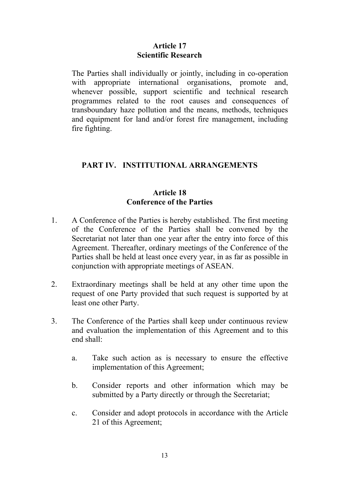# **Article 17 Scientific Research**

The Parties shall individually or jointly, including in co-operation with appropriate international organisations, promote and, whenever possible, support scientific and technical research programmes related to the root causes and consequences of transboundary haze pollution and the means, methods, techniques and equipment for land and/or forest fire management, including fire fighting.

# **PART IV. INSTITUTIONAL ARRANGEMENTS**

## **Article 18 Conference of the Parties**

- 1. A Conference of the Parties is hereby established. The first meeting of the Conference of the Parties shall be convened by the Secretariat not later than one year after the entry into force of this Agreement. Thereafter, ordinary meetings of the Conference of the Parties shall be held at least once every year, in as far as possible in conjunction with appropriate meetings of ASEAN.
- 2. Extraordinary meetings shall be held at any other time upon the request of one Party provided that such request is supported by at least one other Party.
- 3. The Conference of the Parties shall keep under continuous review and evaluation the implementation of this Agreement and to this end shall:
	- a. Take such action as is necessary to ensure the effective implementation of this Agreement;
	- b. Consider reports and other information which may be submitted by a Party directly or through the Secretariat;
	- c. Consider and adopt protocols in accordance with the Article 21 of this Agreement;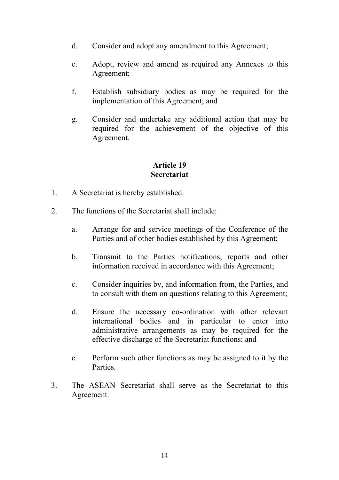- d. Consider and adopt any amendment to this Agreement;
- e. Adopt, review and amend as required any Annexes to this Agreement;
- f. Establish subsidiary bodies as may be required for the implementation of this Agreement; and
- g. Consider and undertake any additional action that may be required for the achievement of the objective of this Agreement.

### **Article 19 Secretariat**

- 1. A Secretariat is hereby established.
- 2. The functions of the Secretariat shall include:
	- a. Arrange for and service meetings of the Conference of the Parties and of other bodies established by this Agreement;
	- b. Transmit to the Parties notifications, reports and other information received in accordance with this Agreement;
	- c. Consider inquiries by, and information from, the Parties, and to consult with them on questions relating to this Agreement;
	- d. Ensure the necessary co-ordination with other relevant international bodies and in particular to enter into administrative arrangements as may be required for the effective discharge of the Secretariat functions; and
	- e. Perform such other functions as may be assigned to it by the Parties.
- 3. The ASEAN Secretariat shall serve as the Secretariat to this Agreement.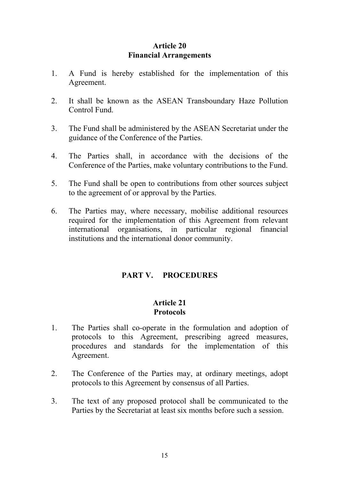# **Article 20 Financial Arrangements**

- 1. A Fund is hereby established for the implementation of this Agreement.
- 2. It shall be known as the ASEAN Transboundary Haze Pollution Control Fund.
- 3. The Fund shall be administered by the ASEAN Secretariat under the guidance of the Conference of the Parties.
- 4. The Parties shall, in accordance with the decisions of the Conference of the Parties, make voluntary contributions to the Fund.
- 5. The Fund shall be open to contributions from other sources subject to the agreement of or approval by the Parties.
- 6. The Parties may, where necessary, mobilise additional resources required for the implementation of this Agreement from relevant international organisations, in particular regional financial institutions and the international donor community.

# **PART V. PROCEDURES**

### **Article 21 Protocols**

- 1. The Parties shall co-operate in the formulation and adoption of protocols to this Agreement, prescribing agreed measures, procedures and standards for the implementation of this Agreement.
- 2. The Conference of the Parties may, at ordinary meetings, adopt protocols to this Agreement by consensus of all Parties.
- 3. The text of any proposed protocol shall be communicated to the Parties by the Secretariat at least six months before such a session.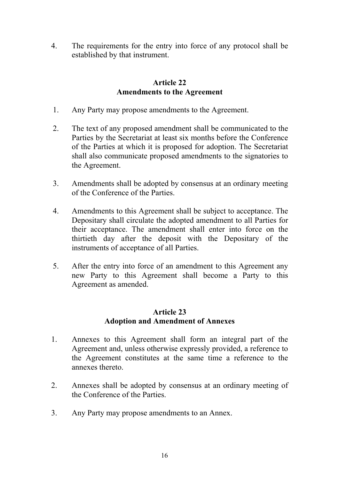4. The requirements for the entry into force of any protocol shall be established by that instrument.

### **Article 22 Amendments to the Agreement**

- 1. Any Party may propose amendments to the Agreement.
- 2. The text of any proposed amendment shall be communicated to the Parties by the Secretariat at least six months before the Conference of the Parties at which it is proposed for adoption. The Secretariat shall also communicate proposed amendments to the signatories to the Agreement.
- 3. Amendments shall be adopted by consensus at an ordinary meeting of the Conference of the Parties.
- 4. Amendments to this Agreement shall be subject to acceptance. The Depositary shall circulate the adopted amendment to all Parties for their acceptance. The amendment shall enter into force on the thirtieth day after the deposit with the Depositary of the instruments of acceptance of all Parties.
- 5. After the entry into force of an amendment to this Agreement any new Party to this Agreement shall become a Party to this Agreement as amended.

# **Article 23 Adoption and Amendment of Annexes**

- 1. Annexes to this Agreement shall form an integral part of the Agreement and, unless otherwise expressly provided, a reference to the Agreement constitutes at the same time a reference to the annexes thereto.
- 2. Annexes shall be adopted by consensus at an ordinary meeting of the Conference of the Parties.
- 3. Any Party may propose amendments to an Annex.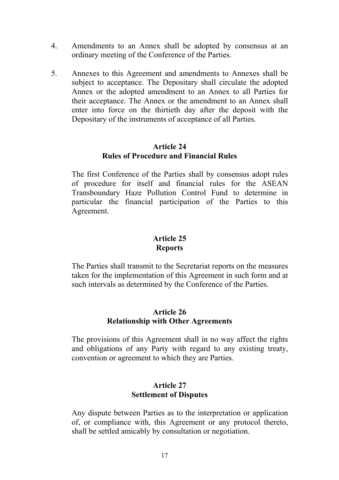- 4. Amendments to an Annex shall be adopted by consensus at an ordinary meeting of the Conference of the Parties.
- 5. Annexes to this Agreement and amendments to Annexes shall be subject to acceptance. The Depositary shall circulate the adopted Annex or the adopted amendment to an Annex to all Parties for their acceptance. The Annex or the amendment to an Annex shall enter into force on the thirtieth day after the deposit with the Depositary of the instruments of acceptance of all Parties.

### **Article 24 Rules of Procedure and Financial Rules**

The first Conference of the Parties shall by consensus adopt rules of procedure for itself and financial rules for the ASEAN Transboundary Haze Pollution Control Fund to determine in particular the financial participation of the Parties to this Agreement.

### **Article 25 Reports**

The Parties shall transmit to the Secretariat reports on the measures taken for the implementation of this Agreement in such form and at such intervals as determined by the Conference of the Parties.

# **Article 26 Relationship with Other Agreements**

The provisions of this Agreement shall in no way affect the rights and obligations of any Party with regard to any existing treaty, convention or agreement to which they are Parties.

### **Article 27 Settlement of Disputes**

Any dispute between Parties as to the interpretation or application of, or compliance with, this Agreement or any protocol thereto, shall be settled amicably by consultation or negotiation.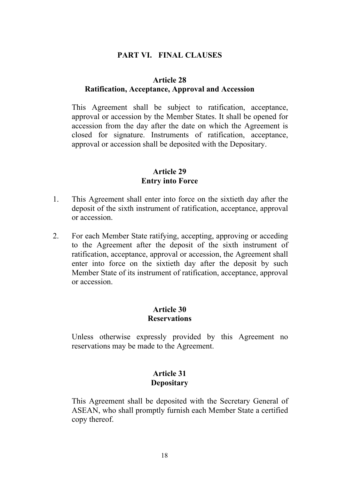#### **PART VI. FINAL CLAUSES**

#### **Article 28**

#### **Ratification, Acceptance, Approval and Accession**

This Agreement shall be subject to ratification, acceptance, approval or accession by the Member States. It shall be opened for accession from the day after the date on which the Agreement is closed for signature. Instruments of ratification, acceptance, approval or accession shall be deposited with the Depositary.

#### **Article 29 Entry into Force**

- 1. This Agreement shall enter into force on the sixtieth day after the deposit of the sixth instrument of ratification, acceptance, approval or accession.
- 2. For each Member State ratifying, accepting, approving or acceding to the Agreement after the deposit of the sixth instrument of ratification, acceptance, approval or accession, the Agreement shall enter into force on the sixtieth day after the deposit by such Member State of its instrument of ratification, acceptance, approval or accession.

#### **Article 30 Reservations**

Unless otherwise expressly provided by this Agreement no reservations may be made to the Agreement.

### **Article 31 Depositary**

This Agreement shall be deposited with the Secretary General of ASEAN, who shall promptly furnish each Member State a certified copy thereof.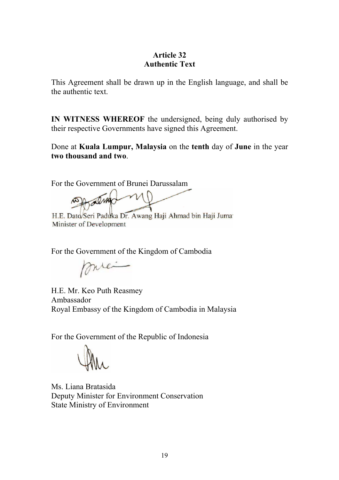## **Article 32 Authentic Text**

This Agreement shall be drawn up in the English language, and shall be the authentic text.

**IN WITNESS WHEREOF** the undersigned, being duly authorised by their respective Governments have signed this Agreement.

Done at **Kuala Lumpur, Malaysia** on the **tenth** day of **June** in the year **two thousand and two**.

For the Government of Brunei Darussalam

JMA

H.E. Dato/Seri Paduka Dr. Awang Haji Ahmad bin Haji Juma Minister of Development

For the Government of the Kingdom of Cambodia

mien

H.E. Mr. Keo Puth Reasmey Ambassador Royal Embassy of the Kingdom of Cambodia in Malaysia

For the Government of the Republic of Indonesia

Ms. Liana Bratasida Deputy Minister for Environment Conservation State Ministry of Environment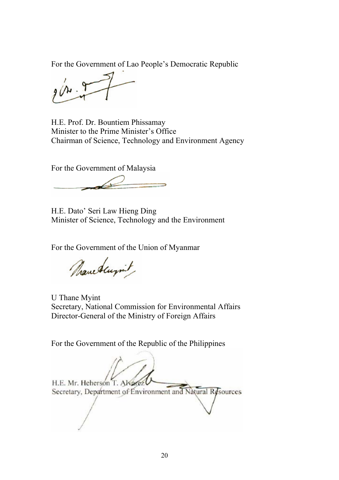For the Government of Lao People's Democratic Republic

H.E. Prof. Dr. Bountiem Phissamay Minister to the Prime Minister's Office Chairman of Science, Technology and Environment Agency

For the Government of Malaysia

H.E. Dato' Seri Law Hieng Ding Minister of Science, Technology and the Environment

For the Government of the Union of Myanmar

Manchenrit,

U Thane Myint Secretary, National Commission for Environmental Affairs Director-General of the Ministry of Foreign Affairs

For the Government of the Republic of the Philippines

H.E. Mr. Heherson T. Alvarez Secretary, Department of Environment and Natural Resources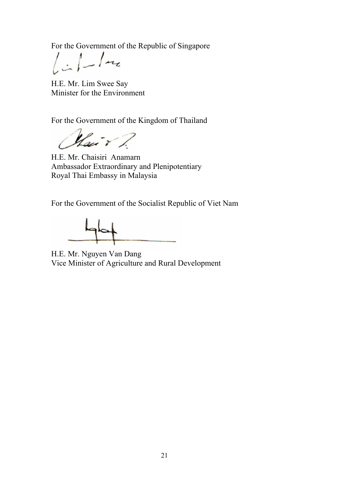For the Government of the Republic of Singapore<br>  $\int$   $\frac{1}{\sqrt{2\pi}}$ 

H.E. Mr. Lim Swee Say Minister for the Environment

For the Government of the Kingdom of Thailand

Hair ?

H.E. Mr. Chaisiri Anamarn Ambassador Extraordinary and Plenipotentiary Royal Thai Embassy in Malaysia

For the Government of the Socialist Republic of Viet Nam

H.E. Mr. Nguyen Van Dang Vice Minister of Agriculture and Rural Development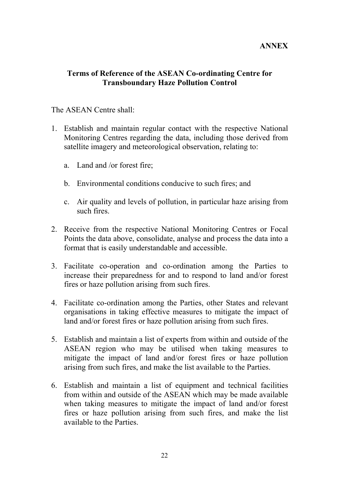## **ANNEX**

### **Terms of Reference of the ASEAN Co-ordinating Centre for Transboundary Haze Pollution Control**

### The ASEAN Centre shall:

- 1. Establish and maintain regular contact with the respective National Monitoring Centres regarding the data, including those derived from satellite imagery and meteorological observation, relating to:
	- a. Land and /or forest fire;
	- b. Environmental conditions conducive to such fires; and
	- c. Air quality and levels of pollution, in particular haze arising from such fires.
- 2. Receive from the respective National Monitoring Centres or Focal Points the data above, consolidate, analyse and process the data into a format that is easily understandable and accessible.
- 3. Facilitate co-operation and co-ordination among the Parties to increase their preparedness for and to respond to land and/or forest fires or haze pollution arising from such fires.
- 4. Facilitate co-ordination among the Parties, other States and relevant organisations in taking effective measures to mitigate the impact of land and/or forest fires or haze pollution arising from such fires.
- 5. Establish and maintain a list of experts from within and outside of the ASEAN region who may be utilised when taking measures to mitigate the impact of land and/or forest fires or haze pollution arising from such fires, and make the list available to the Parties.
- 6. Establish and maintain a list of equipment and technical facilities from within and outside of the ASEAN which may be made available when taking measures to mitigate the impact of land and/or forest fires or haze pollution arising from such fires, and make the list available to the Parties.